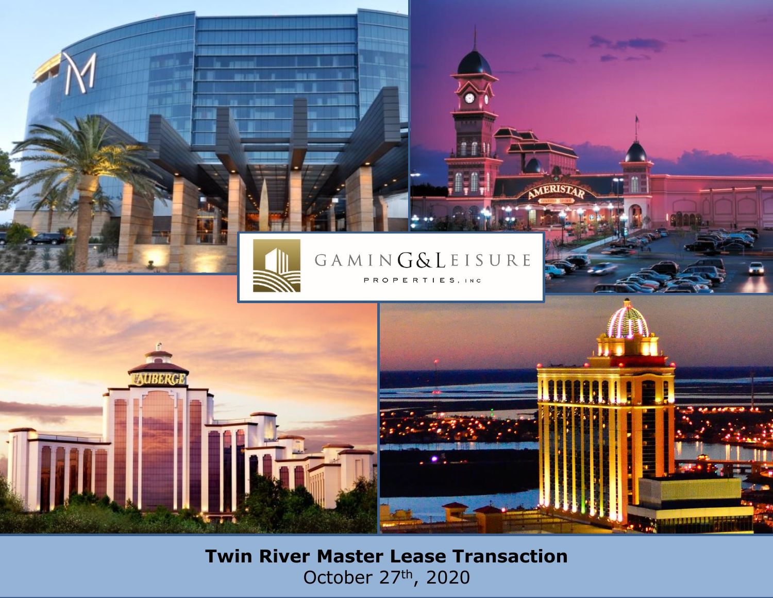

#### GAMING&LEISURE PROPERTIES, INC.

MERIST

AURO **MASSAULU** 

> **Twin River Master Lease Transaction** October 27th, 2020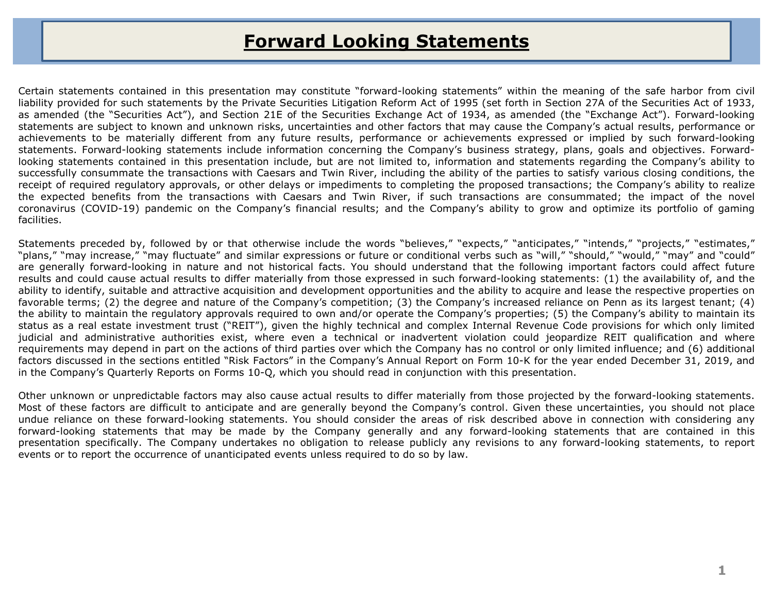### **Forward Looking Statements**

Certain statements contained in this presentation may constitute "forward-looking statements" within the meaning of the safe harbor from civil liability provided for such statements by the Private Securities Litigation Reform Act of 1995 (set forth in Section 27A of the Securities Act of 1933, as amended (the "Securities Act"), and Section 21E of the Securities Exchange Act of 1934, as amended (the "Exchange Act"). Forward-looking statements are subject to known and unknown risks, uncertainties and other factors that may cause the Company's actual results, performance or achievements to be materially different from any future results, performance or achievements expressed or implied by such forward-looking statements. Forward-looking statements include information concerning the Company's business strategy, plans, goals and objectives. Forwardlooking statements contained in this presentation include, but are not limited to, information and statements regarding the Company's ability to successfully consummate the transactions with Caesars and Twin River, including the ability of the parties to satisfy various closing conditions, the receipt of required regulatory approvals, or other delays or impediments to completing the proposed transactions; the Company's ability to realize the expected benefits from the transactions with Caesars and Twin River, if such transactions are consummated; the impact of the novel coronavirus (COVID-19) pandemic on the Company's financial results; and the Company's ability to grow and optimize its portfolio of gaming facilities.

Statements preceded by, followed by or that otherwise include the words "believes," "expects," "anticipates," "intends," "projects," "estimates," "plans," "may increase," "may fluctuate" and similar expressions or future or conditional verbs such as "will," "should," "would," "may" and "could" are generally forward-looking in nature and not historical facts. You should understand that the following important factors could affect future results and could cause actual results to differ materially from those expressed in such forward-looking statements: (1) the availability of, and the ability to identify, suitable and attractive acquisition and development opportunities and the ability to acquire and lease the respective properties on favorable terms; (2) the degree and nature of the Company's competition; (3) the Company's increased reliance on Penn as its largest tenant; (4) the ability to maintain the regulatory approvals required to own and/or operate the Company's properties; (5) the Company's ability to maintain its status as a real estate investment trust ("REIT"), given the highly technical and complex Internal Revenue Code provisions for which only limited judicial and administrative authorities exist, where even a technical or inadvertent violation could jeopardize REIT qualification and where requirements may depend in part on the actions of third parties over which the Company has no control or only limited influence; and (6) additional factors discussed in the sections entitled "Risk Factors" in the Company's Annual Report on Form 10-K for the year ended December 31, 2019, and in the Company's Quarterly Reports on Forms 10-Q, which you should read in conjunction with this presentation.

Other unknown or unpredictable factors may also cause actual results to differ materially from those projected by the forward-looking statements. Most of these factors are difficult to anticipate and are generally beyond the Company's control. Given these uncertainties, you should not place undue reliance on these forward-looking statements. You should consider the areas of risk described above in connection with considering any forward-looking statements that may be made by the Company generally and any forward-looking statements that are contained in this presentation specifically. The Company undertakes no obligation to release publicly any revisions to any forward-looking statements, to report events or to report the occurrence of unanticipated events unless required to do so by law.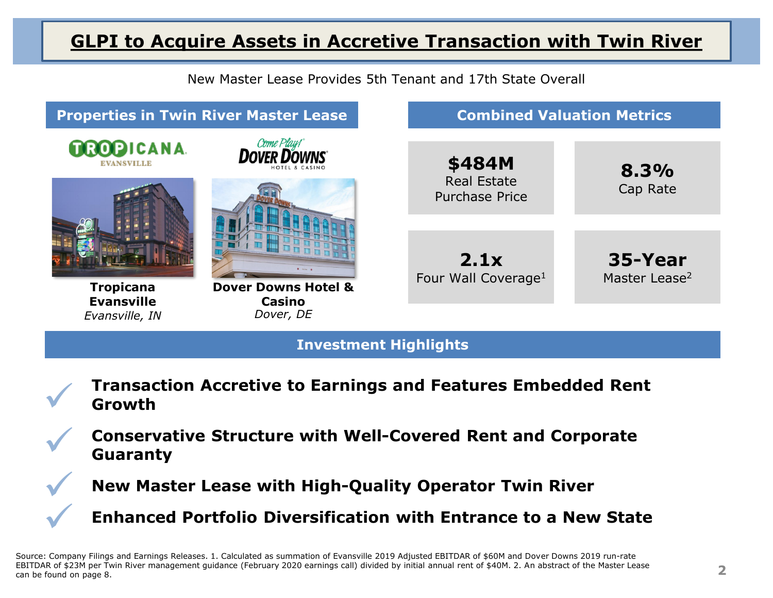### **GLPI to Acquire Assets in Accretive Transaction with Twin River**



#### **Investment Highlights**



**Conservative Structure with Well-Covered Rent and Corporate Guaranty**

**New Master Lease with High-Quality Operator Twin River**

 $\checkmark$ 

 $\bigvee$ 

 $\checkmark$ 

**Enhanced Portfolio Diversification with Entrance to a New State**

Source: Company Filings and Earnings Releases. 1. Calculated as summation of Evansville 2019 Adjusted EBITDAR of \$60M and Dover Downs 2019 run-rate EBITDAR of \$23M per Twin River management guidance (February 2020 earnings call) divided by initial annual rent of \$40M. 2. An abstract of the Master Lease can be found on page 8.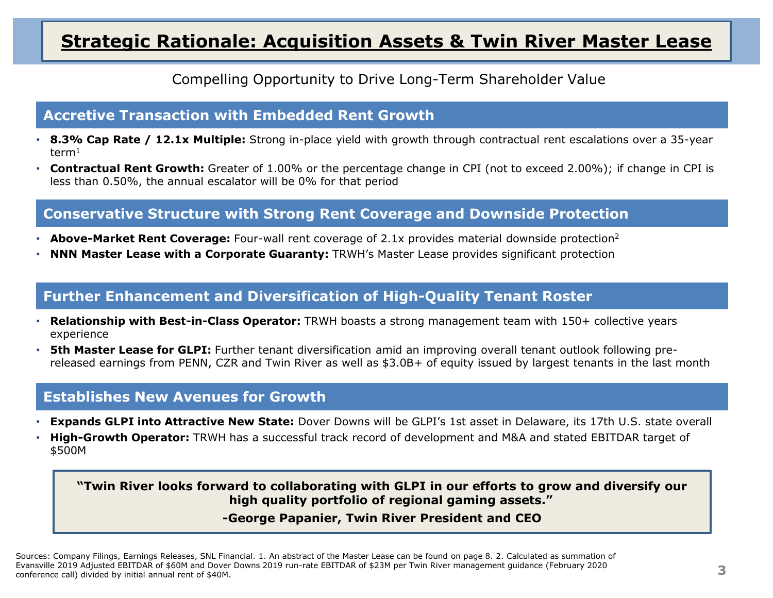### **Strategic Rationale: Acquisition Assets & Twin River Master Lease**

Compelling Opportunity to Drive Long-Term Shareholder Value

#### **Accretive Transaction with Embedded Rent Growth**

- **8.3% Cap Rate / 12.1x Multiple:** Strong in-place yield with growth through contractual rent escalations over a 35-year term<sup>1</sup>
- **Contractual Rent Growth:** Greater of 1.00% or the percentage change in CPI (not to exceed 2.00%); if change in CPI is less than 0.50%, the annual escalator will be 0% for that period

#### **Conservative Structure with Strong Rent Coverage and Downside Protection**

- **Above-Market Rent Coverage:** Four-wall rent coverage of 2.1x provides material downside protection<sup>2</sup>
- **NNN Master Lease with a Corporate Guaranty:** TRWH's Master Lease provides significant protection

#### **Further Enhancement and Diversification of High-Quality Tenant Roster**

- **Relationship with Best-in-Class Operator:** TRWH boasts a strong management team with 150+ collective years experience
- **5th Master Lease for GLPI:** Further tenant diversification amid an improving overall tenant outlook following prereleased earnings from PENN, CZR and Twin River as well as \$3.0B+ of equity issued by largest tenants in the last month

#### **Establishes New Avenues for Growth**

- **Expands GLPI into Attractive New State:** Dover Downs will be GLPI's 1st asset in Delaware, its 17th U.S. state overall
- **High-Growth Operator:** TRWH has a successful track record of development and M&A and stated EBITDAR target of \$500M

**"Twin River looks forward to collaborating with GLPI in our efforts to grow and diversify our high quality portfolio of regional gaming assets."**

#### **-George Papanier, Twin River President and CEO**

Sources: Company Filings, Earnings Releases, SNL Financial. 1. An abstract of the Master Lease can be found on page 8. 2. Calculated as summation of Evansville 2019 Adjusted EBITDAR of \$60M and Dover Downs 2019 run-rate EBITDAR of \$23M per Twin River management guidance (February 2020 conference call) divided by initial annual rent of \$40M.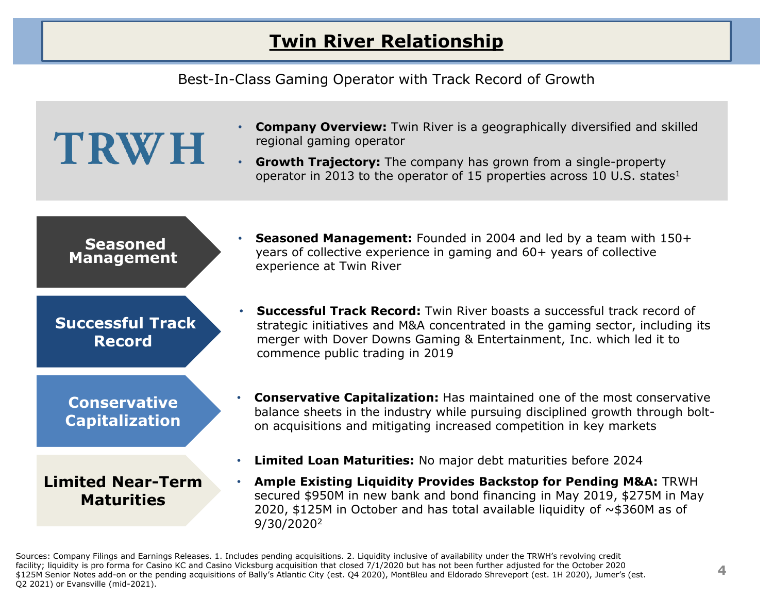### **Twin River Relationship**

Best-In-Class Gaming Operator with Track Record of Growth

# **TRWH**

- **Company Overview:** Twin River is a geographically diversified and skilled regional gaming operator
- **Growth Trajectory:** The company has grown from a single-property operator in 2013 to the operator of 15 properties across 10 U.S. states<sup>1</sup>

#### **Seasoned Management**

### **Successful Track Record**

**Conservative Capitalization**

**Limited Near-Term Maturities**

- **Seasoned Management:** Founded in 2004 and led by a team with 150+ years of collective experience in gaming and 60+ years of collective experience at Twin River
- **Successful Track Record:** Twin River boasts a successful track record of strategic initiatives and M&A concentrated in the gaming sector, including its merger with Dover Downs Gaming & Entertainment, Inc. which led it to commence public trading in 2019
- **Conservative Capitalization:** Has maintained one of the most conservative balance sheets in the industry while pursuing disciplined growth through bolton acquisitions and mitigating increased competition in key markets
- **Limited Loan Maturities:** No major debt maturities before 2024
- **Ample Existing Liquidity Provides Backstop for Pending M&A:** TRWH secured \$950M in new bank and bond financing in May 2019, \$275M in May 2020, \$125M in October and has total available liquidity of  $\sim$  \$360M as of 9/30/2020<sup>2</sup>

Sources: Company Filings and Earnings Releases. 1. Includes pending acquisitions. 2. Liquidity inclusive of availability under the TRWH's revolving credit facility; liquidity is pro forma for Casino KC and Casino Vicksburg acquisition that closed 7/1/2020 but has not been further adjusted for the October 2020 \$125M Senior Notes add-on or the pending acquisitions of Bally's Atlantic City (est. Q4 2020), MontBleu and Eldorado Shreveport (est. 1H 2020), Jumer's (est. Q2 2021) or Evansville (mid-2021).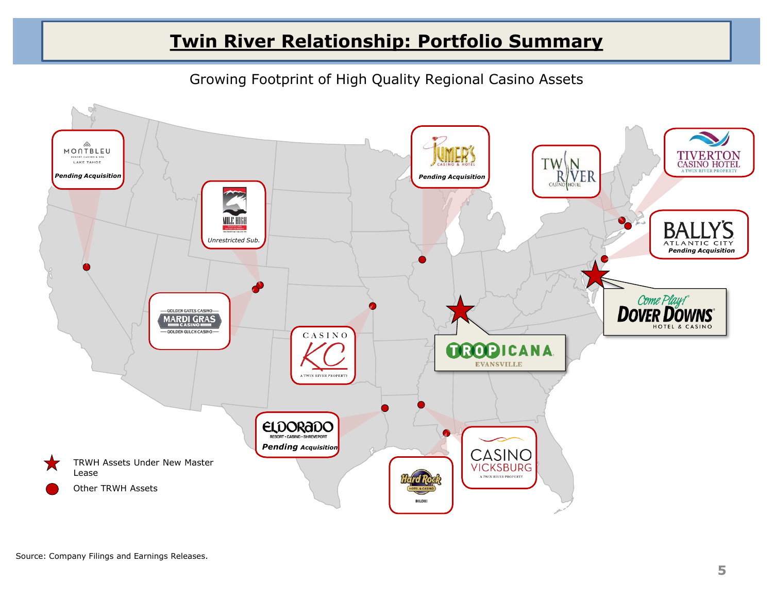### **Twin River Relationship: Portfolio Summary**

Growing Footprint of High Quality Regional Casino Assets

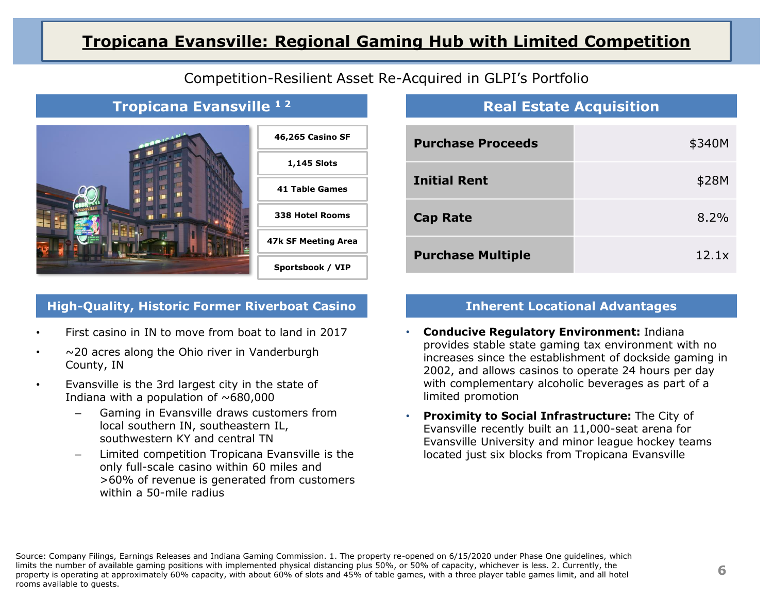#### **Tropicana Evansville: Regional Gaming Hub with Limited Competition**



#### Competition-Resilient Asset Re-Acquired in GLPI's Portfolio

#### **Tropicana Evansville 1 2**



#### **High-Quality, Historic Former Riverboat Casino Inherent Locational Advantages**

- First casino in IN to move from boat to land in 2017
- $\sim$  20 acres along the Ohio river in Vanderburgh County, IN
- Evansville is the 3rd largest city in the state of Indiana with a population of  $~\sim$  680,000
	- Gaming in Evansville draws customers from local southern IN, southeastern IL, southwestern KY and central TN
	- Limited competition Tropicana Evansville is the only full-scale casino within 60 miles and >60% of revenue is generated from customers within a 50-mile radius

#### **Real Estate Acquisition**

| <b>Purchase Proceeds</b> | \$340M |
|--------------------------|--------|
| <b>Initial Rent</b>      | \$28M  |
| <b>Cap Rate</b>          | 8.2%   |
| <b>Purchase Multiple</b> | 12.1x  |

- **Conducive Regulatory Environment:** Indiana provides stable state gaming tax environment with no increases since the establishment of dockside gaming in 2002, and allows casinos to operate 24 hours per day with complementary alcoholic beverages as part of a limited promotion
- **Proximity to Social Infrastructure:** The City of Evansville recently built an 11,000-seat arena for Evansville University and minor league hockey teams located just six blocks from Tropicana Evansville

Source: Company Filings, Earnings Releases and Indiana Gaming Commission. 1. The property re-opened on 6/15/2020 under Phase One guidelines, which limits the number of available gaming positions with implemented physical distancing plus 50%, or 50% of capacity, whichever is less. 2. Currently, the property is operating at approximately 60% capacity, with about 60% of slots and 45% of table games, with a three player table games limit, and all hotel rooms available to guests.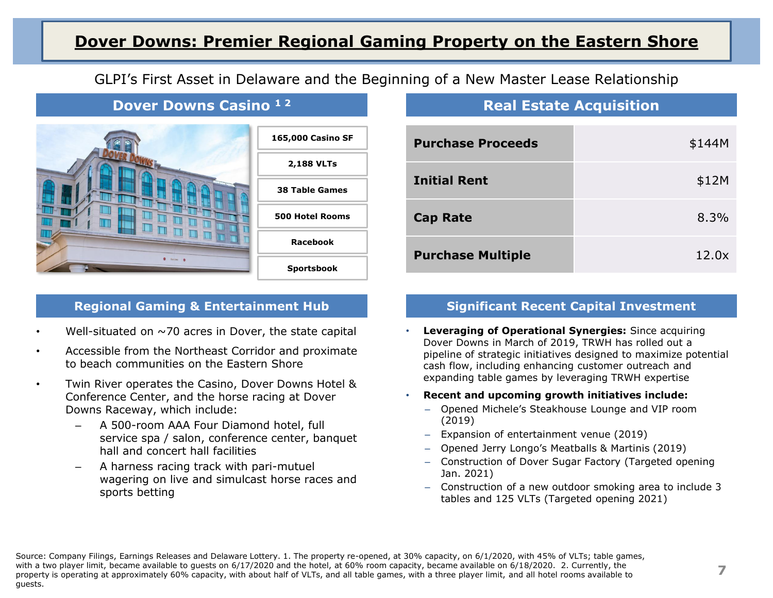#### **Dover Downs: Premier Regional Gaming Property on the Eastern Shore**

#### GLPI's First Asset in Delaware and the Beginning of a New Master Lease Relationship

#### **Dover Downs Casino 1 2**



#### **Regional Gaming & Entertainment Hub**

- Well-situated on  $\sim$ 70 acres in Dover, the state capital
- Accessible from the Northeast Corridor and proximate to beach communities on the Eastern Shore
- Twin River operates the Casino, Dover Downs Hotel & Conference Center, and the horse racing at Dover Downs Raceway, which include:
	- A 500-room AAA Four Diamond hotel, full service spa / salon, conference center, banquet hall and concert hall facilities
	- A harness racing track with pari-mutuel wagering on live and simulcast horse races and sports betting

#### **Real Estate Acquisition**

| <b>Purchase Proceeds</b> | \$144M |
|--------------------------|--------|
| <b>Initial Rent</b>      | \$12M  |
| <b>Cap Rate</b>          | 8.3%   |
| <b>Purchase Multiple</b> | 12.0x  |

#### **Significant Recent Capital Investment**

- **Leveraging of Operational Synergies:** Since acquiring Dover Downs in March of 2019, TRWH has rolled out a pipeline of strategic initiatives designed to maximize potential cash flow, including enhancing customer outreach and expanding table games by leveraging TRWH expertise
- **Recent and upcoming growth initiatives include:** 
	- ‒ Opened Michele's Steakhouse Lounge and VIP room (2019)
	- ‒ Expansion of entertainment venue (2019)
	- ‒ Opened Jerry Longo's Meatballs & Martinis (2019)
	- ‒ Construction of Dover Sugar Factory (Targeted opening Jan. 2021)
	- ‒ Construction of a new outdoor smoking area to include 3 tables and 125 VLTs (Targeted opening 2021)

Source: Company Filings, Earnings Releases and Delaware Lottery. 1. The property re-opened, at 30% capacity, on 6/1/2020, with 45% of VLTs; table games, with a two player limit, became available to guests on 6/17/2020 and the hotel, at 60% room capacity, became available on 6/18/2020. 2. Currently, the property is operating at approximately 60% capacity, with about half of VLTs, and all table games, with a three player limit, and all hotel rooms available to guests.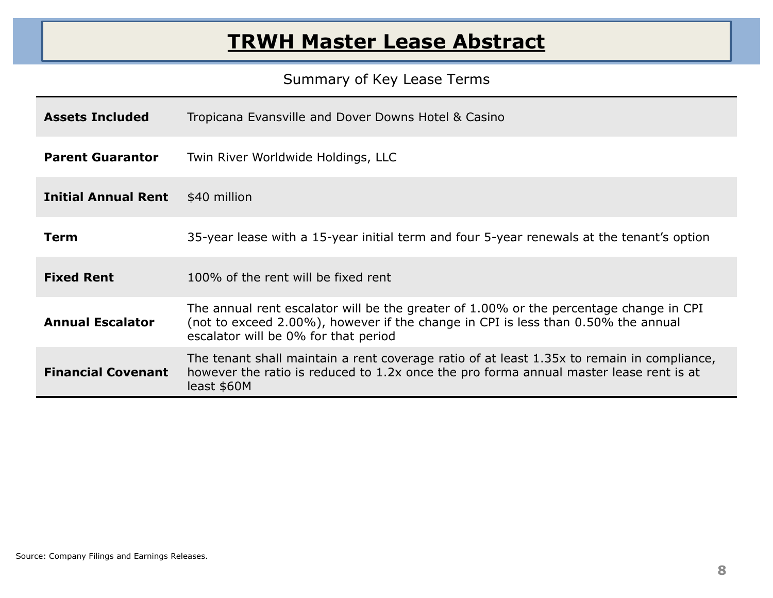### **TRWH Master Lease Abstract**

#### Summary of Key Lease Terms

| <b>Assets Included</b>     | Tropicana Evansville and Dover Downs Hotel & Casino                                                                                                                                                                 |
|----------------------------|---------------------------------------------------------------------------------------------------------------------------------------------------------------------------------------------------------------------|
| <b>Parent Guarantor</b>    | Twin River Worldwide Holdings, LLC                                                                                                                                                                                  |
| <b>Initial Annual Rent</b> | \$40 million                                                                                                                                                                                                        |
| Term                       | 35-year lease with a 15-year initial term and four 5-year renewals at the tenant's option                                                                                                                           |
| <b>Fixed Rent</b>          | 100% of the rent will be fixed rent                                                                                                                                                                                 |
| <b>Annual Escalator</b>    | The annual rent escalator will be the greater of 1.00% or the percentage change in CPI<br>(not to exceed 2.00%), however if the change in CPI is less than 0.50% the annual<br>escalator will be 0% for that period |
| <b>Financial Covenant</b>  | The tenant shall maintain a rent coverage ratio of at least 1.35x to remain in compliance,<br>however the ratio is reduced to 1.2x once the pro forma annual master lease rent is at<br>least \$60M                 |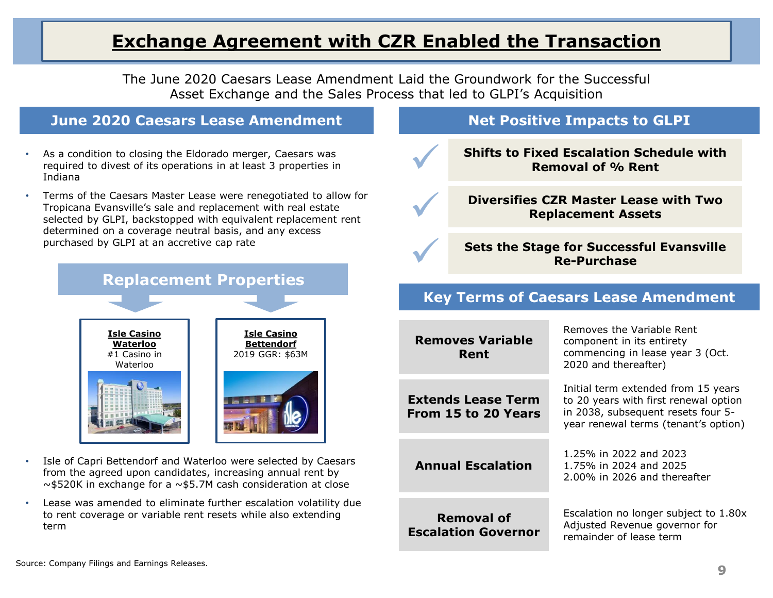### **Exchange Agreement with CZR Enabled the Transaction**

The June 2020 Caesars Lease Amendment Laid the Groundwork for the Successful Asset Exchange and the Sales Process that led to GLPI's Acquisition

 $\checkmark$ 

 $\checkmark$ 

 $\checkmark$ 

#### **June 2020 Caesars Lease Amendment**

- As a condition to closing the Eldorado merger, Caesars was required to divest of its operations in at least 3 properties in Indiana
- Terms of the Caesars Master Lease were renegotiated to allow for Tropicana Evansville's sale and replacement with real estate selected by GLPI, backstopped with equivalent replacement rent determined on a coverage neutral basis, and any excess purchased by GLPI at an accretive cap rate



- Isle of Capri Bettendorf and Waterloo were selected by Caesars from the agreed upon candidates, increasing annual rent by ~\$520K in exchange for a ~\$5.7M cash consideration at close
- Lease was amended to eliminate further escalation volatility due to rent coverage or variable rent resets while also extending term

#### **Net Positive Impacts to GLPI**

**Shifts to Fixed Escalation Schedule with Removal of % Rent**

**Diversifies CZR Master Lease with Two Replacement Assets**

**Sets the Stage for Successful Evansville Re-Purchase** 

#### **Key Terms of Caesars Lease Amendment**

| <b>Removes Variable</b><br>Rent                  | Removes the Variable Rent<br>component in its entirety<br>commencing in lease year 3 (Oct.<br>2020 and thereafter)                                         |
|--------------------------------------------------|------------------------------------------------------------------------------------------------------------------------------------------------------------|
| <b>Extends Lease Term</b><br>From 15 to 20 Years | Initial term extended from 15 years<br>to 20 years with first renewal option<br>in 2038, subsequent resets four 5-<br>year renewal terms (tenant's option) |
| <b>Annual Escalation</b>                         | 1.25% in 2022 and 2023<br>1.75% in 2024 and 2025<br>2.00% in 2026 and thereafter                                                                           |
| <b>Removal of</b><br><b>Escalation Governor</b>  | Escalation no longer subject to 1.80x<br>Adjusted Revenue governor for<br>remainder of lease term                                                          |